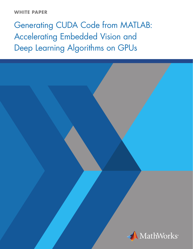## **WHITE PAPER**

# Generating CUDA Code from MATLAB: Accelerating Embedded Vision and Deep Learning Algorithms on GPUs

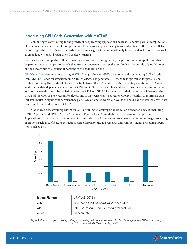## Introducing GPU Code Generation with MATLAB

GPU computing is contributing to the growth of deep learning applications because it enables parallel computations of data on a massive scale. GPU computing accelerates your applications by taking advantage of the data parallelism in your algorithms. This is key to meeting performance goals for computationally intensive algorithms in areas such as embedded vision and radar as well as deep learning.

GPU-accelerated computing follows a heterogeneous programming model; the portions of your application that can be parallelized are mapped to kernels that execute concurrently across the hundreds or thousands of parallel cores on the GPU, while the sequential portions of the code run on the CPU.

*[GPU Coder™](https://www.mathworks.com/products/gpu-coder.html/)* accelerates your existing *[MATLAB®](https://www.mathworks.com/products/matlab/)* algorithms on GPUs by automatically generating CUDA® code from MATLAB code for execution on NVIDIA® GPUs. The generated CUDA code is optimized for parallelism, while minimizing the overhead of data transfer between the CPU and GPU. During code generation, GPU Coder analyzes the data dependency between the CPU and GPU partitions. This analysis determines the minimum set of locations where data must be copied between the CPU and GPU. The memory bandwidth bottleneck between the CPU and the GPU is a key reason for algorithms to lose performance speed on GPUs; the ability to minimize data transfer results in significant performance gains. An automated workflow avoids the hassle and increased errors that can come from hand coding in CUDA.

GPU Coder accelerates your algorithm on GPUs running on desktops, the cloud, or embedded devices, including NVIDIA Jetson® and NVIDIA Drive® platforms. Figures 1 and 2 highlight these performance improvements. Applications can realize up to two orders of magnitude in performance improvements for common image processing operations such as surf feature extraction, stereo disparity, and fog removal, and common signal processing operations such as FFT.



| <b>Testing Platform</b>                              | MATLAB 2018a                               |  |
|------------------------------------------------------|--------------------------------------------|--|
| Intel Xeon CPU E5-1650 v3 @ $3.50$ GHz<br><b>CPU</b> |                                            |  |
| <b>GPU</b>                                           | NVIDIA Pascal TITAN V (Volta architecture) |  |
| <b>CUDA</b>                                          | Version 9.0                                |  |

*Figure 1. Common image processing and signal processing performance benchmarks for GPU Coder–generated CUDA code running on GPUs compared with C code running on CPUs.*

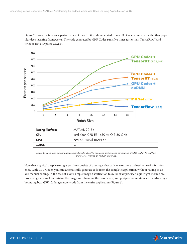

Figure 2 shows the inference performance of the CUDA code generated from GPU Coder compared with other popular deep learning frameworks. The code generated by GPU Coder runs five times faster than TensorFlow™ and twice as fast as Apache MXNet.

*Figure 2. Deep learning performance benchmarks: AlexNet inference performance comparison of GPU Coder, TensorFlow, and MXNet running on NVIDIA Titan® Xp.*

Note that a typical deep learning algorithm consists of user logic that calls one or more trained networks for inference. With GPU Coder, you can automatically generate code from the complete application, without having to do any manual coding. In the case of a very simple image classification task, for example, user logic might include preprocessing steps such as resizing the image and changing the color space, and postprocessing steps such as drawing a bounding box. GPU Coder generates code from the entire application (Figure 3).

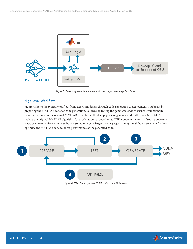

*Figure 3. Generating code for the entire end-to-end application using GPU Coder.*

#### High-Level Workflow

Figure 4 shows the typical workflow from algorithm design through code generation to deployment. You begin by preparing the MATLAB code for code generation, followed by testing the generated code to ensure it functionally behaves the same as the original MATLAB code. In the third step, you can generate code either as a MEX file (to replace the original MATLAB algorithm for acceleration purposes) or as CUDA code in the form of source code or a static or dynamic library that can be integrated into your larger CUDA project. An optional fourth step is to further optimize the MATLAB code to boost performance of the generated code.



*Figure 4. Workflow to generate CUDA code from MATLAB code.*

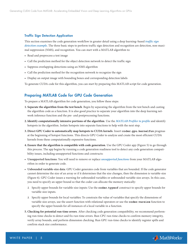#### Traffic Sign Detection Application

This section examines the code generation workflow in greater detail using a deep learning–based *[traffic sign](https://www.mathworks.com/help/gpucoder/examples/code-generation-for-traffic-sign-detection-and-recognition-networks.html)  [detection example](https://www.mathworks.com/help/gpucoder/examples/code-generation-for-traffic-sign-detection-and-recognition-networks.html)*. The three basic steps to perform traffic sign detection and recognition are detection, non-maximal suppression (NMS), and recognition. You can start with a MATLAB algorithm to:

- Read and preprocess a test image
- Call the prediction method for the object detection network to detect the traffic sign
- Suppress overlapping detections using an NMS algorithm
- Call the prediction method for the recognition network to recognize the sign
- Display an output image with bounding boxes and corresponding detection labels

To generate CUDA code for this algorithm, you can start by preparing this MATLAB script for code generation.

## Preparing MATLAB Code for GPU Code Generation

To prepare a MATLAB algorithm for code generation, you follow these steps:

- **1. Separate the algorithm from the test bench**. Begin by separating the algorithm from the test bench and casting the algorithm code as a function. It is also good practice to separate your algorithm into the deep learning network inference function and the pre- and postprocessing functions.
- **2.Identify computationally intensive portions of the algorithm**. Use the *[MATLAB Profiler to profile](https://www.mathworks.com/help/matlab/matlab_prog/profiling-for-improving-performance.html)* and identify hotspots in the algorithm. Isolate hotspots into separate functions to help with the next step.
- **3. Direct GPU Coder to automatically map hotspots to CUDA kernels**. Insert **coder.gpu.kernelfun** pragmas at the beginning of hotspot functions. This directs GPU Coder to analyze and create the most efficient CUDA kernels from these computationally expensive functions.
- **4. Ensure that the algorithm is compatible with code generation**. Use the GPU Coder app (Figure 5) to go through this process. The app begins by running a code generation readiness tool to detect any code generation compatibility issues, including unsupported functions and constructs:
- **• Unsupported functions**: You will need to remove or replace *[unsupported functions](https://www.mathworks.com/help/gpucoder/ug/unsupported-functions.html)* from your MATLAB algorithm in order to generate code.
- **• Unbounded variable-size data**: GPU Coder generates code from variables that are bounded. If the code generator cannot determine the size of an array or if it determines that the size changes, then the dimension is variable-size (Figure 6). GPU Coder issues a warning for unbounded variables or unbounded variable-size arrays. In this case, you need to specify an upper bound so that the coder can allocate the memory statically:
	- Ŝ Specify upper bounds for variable-size inputs: Use the **coder.typeof** construct to specify upper bounds for variable-size inputs.
	- Ŝ Specify upper bounds for local variables: To constrain the value of variables that specify the dimensions of variable-size arrays, use the assert function with relational operators or use the **coder.varsize** function to specify the upper bounds for all instances of a local variable in a function.
- **5. Checking for potential run-time errors**. After checking code generation compatibility, we recommend performing run-time checks to detect and fix run-time errors. Run CPU run-time checks to confirm memory integrity, verify array bounds, and perform dimension checking. Run GPU run-time checks to identify register spills and confirm stack size conformance.

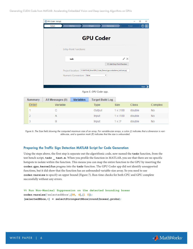| Define                                                                       | Check            |   | Generate                   | Finish               | ℗ |
|------------------------------------------------------------------------------|------------------|---|----------------------------|----------------------|---|
|                                                                              | <b>GPU Coder</b> |   |                            |                      |   |
| <b>Entry-Point Functions:</b>                                                |                  |   |                            |                      |   |
| tsdr                                                                         |                  |   |                            | $\mathscr{D} \times$ |   |
|                                                                              |                  |   | + Add Entry-Point Function |                      |   |
| Project location: C:\MATLAB_Drive\GPU_Coder_Demos\gpucoderdemo_tsdr\tsdr.prj |                  |   |                            |                      |   |
| Numeric Conversion: None                                                     |                  | ٠ |                            |                      |   |

*Figure 5. GPU Coder app.*

| <b>Summary</b> | All Messages (0) | <b>Variables</b> | <b>Target Build Log</b> |                |        |           |
|----------------|------------------|------------------|-------------------------|----------------|--------|-----------|
| Order          | Variable         |                  | Type                    | <b>Size</b>    | Class  | Complex   |
|                | u                |                  | Output                  | $1 \times 100$ | double | <b>No</b> |
|                |                  |                  | Input                   | $1 \times 100$ | double | <b>No</b> |
|                | В                |                  | Input                   | 1x:2           | double | No        |

*Figure 6. The Size field showing the computed maximum size of an array. For variable-size arrays, a colon (:) indicates that a dimension is variable-size, and a question mark (?) indicates that the size is unbounded.*

#### Preparing the Traffic Sign Detection MATLAB Script for Code Generation

Using the steps above, the first step is separate out the algorithmic code, now named the **tsdr** function, from the test bench script, **tsdr \_ test.m**. When you profile the function in MATLAB, you see that there are no specific hotspots to isolate within the function. This means you can map the entire function to the GPU by inserting the **coder.gpu.kernelfun** pragma into the **tsdr** function. The GPU Coder app did not identify unsupported functions, but it did show that the function has an unbounded variable-size array. So you need to use **coder.varsize** to specify an upper bound (Figure 7). Run-time checks for both CPU and GPU complete successfully without any errors.

**%% Run Non-Maximal Suppression on the detected bounding boxes coder.varsize('selectedBbox',[98, 4],[1 0]); [selectedBbox,~] = selectStrongestBbox(round(boxes),probs);**

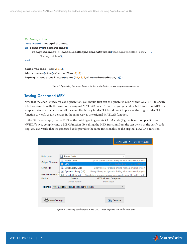```
%% Recognition
persistent recognitionnet;
if isempty(recognitionnet)
     recognitionnet = coder.loadDeepLearningNetwork('RecognitionNet.mat', ... 
          'Recognition');
end
coder.varsize('idx',98,1);
idx = zeros(size(selectedBbox,1),1);
inpImg = coder.nullcopy(zeros(48,48,3,size(selectedBbox,1)));
```
Figure 7. Specifying the upper bounds for the variable-size arrays using coder.varsize.

## Testing Generated MEX

Now that the code is ready for code generation, you should first test the generated MEX within MATLAB to ensure it behaves functionally the same as the original MATLAB code. To do this, you generate a MEX function. MEX is a wrapper interface that lets you call the compiled binary in MATLAB and use it in place of the original MATLAB function to verify that it behaves in the same way as the original MATLAB function.

In the GPU Coder app, choose MEX as the build type to generate CUDA code (Figure 8) and compile it using NVIDIA's nvcc compiler into a MEX function. By calling the MEX function from the test bench in the verify code step, you can verify that the generated code provides the same functionality as the original MATLAB function.

|                      |                                             | <b>GENERATE</b> ▼<br><b>VERIFY CODE</b>                         |  |  |
|----------------------|---------------------------------------------|-----------------------------------------------------------------|--|--|
|                      |                                             |                                                                 |  |  |
| <b>Build type:</b>   | Source Code<br><sub>C</sub>                 | ▼                                                               |  |  |
|                      | <b>Source Code</b><br> c                    | C/C++ source code to integrate with an external project         |  |  |
| Output file name:    | <b>MEX</b><br>Ð                             | Compiled code to run inside MATLAB                              |  |  |
| Language             | Static Library (.lib)                       | Binary library for static linking with an external project      |  |  |
|                      | Dynamic Library (.dll)<br>▧                 | Binary library for dynamic linking with an external project     |  |  |
| Hardware Board       | Executable (.exe)                           | Standalone program (requires a separate main file written in C) |  |  |
| Device               | Generic<br><b>MATLAB Host Computer</b>      |                                                                 |  |  |
|                      | Device vendor                               | Device type                                                     |  |  |
| Toolchain            | Automatically locate an installed toolchain | $\checkmark$                                                    |  |  |
|                      |                                             |                                                                 |  |  |
|                      |                                             |                                                                 |  |  |
| <b>Nore Settings</b> |                                             | Generate<br>æ                                                   |  |  |
|                      |                                             |                                                                 |  |  |

*Figure 8. Selecting build targets in the GPU Coder app and the verify code step.*

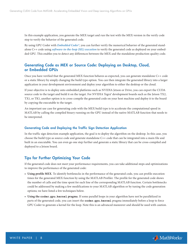In this example application, you generate the MEX target and run the test with the MEX version in the verify code step to verify the behavior of the generated code.

By using GPU Coder with *[Embedded Coder®](https://www.mathworks.com/products/embedded-coder/)*, you can further verify the numerical behavior of the generated standalone C++ code using *[software-in-the-loop \(SIL\) execution](https://www.mathworks.com/help/gpucoder/gs/gpucoder-verification.html#mw_7a59aa4b-0855-4196-800b-51796681ed16)* to verify the generated code as deployed on your embedded GPU. This enables you to detect any differences between the MEX and the standalone production-quality code.

## Generating Code as MEX or Source Code: Deploying on Desktop, Cloud, or Embedded GPUs

Once you have verified that the generated MEX function behaves as expected, you can generate standalone C++ code or a static library by simply changing the build type option. You can then integrate the generated library into a larger application in your development environment and deploy your algorithm to either the desktop or the cloud.

If your objective is to deploy onto embedded platforms such as NVIDIA Jetson or Drive, you can export the CUDA source code to the target and build it on the target. For NVIDIA Tegra® development boards such as the Jetson TX2, TX1, or TK1, another option is to cross-compile the generated code on your host machine and deploy it to the board by copying the executable to the target.

An important use case for generating code with the MEX build type is to accelerate the computational speed in MATLAB by calling the compiled binary running on the GPU instead of the native MATLAB function that needs to be interpreted.

#### Generating Code and Deploying the Traffic Sign Detection Application

In the traffic sign detection example application, the goal is to deploy the algorithm on the desktop. In this case, you choose the build type as source code and generate standalone C++ code that can be integrated into a main file and built in an executable. You can even go one step further and generate a static library that can be cross-compiled and deployed to a Jetson board.

### Tips for Further Optimizing Your Code

If the generated code does not meet your performance requirements, you can take additional steps and optimizations to improve the performance of the generated code:

- **• Using profile MEX**. To identify bottlenecks in the performance of the generated code, you can profile execution times for the generated MEX function by using the MATLAB Profiler. The profile for the generated code shows the number of calls and the time spent for each line of the corresponding MATLAB function. Certain bottlenecks could be addressed by making a few modifications to your MATLAB algorithm or by tuning the code generation options; we have listed a few techniques below.
- **• Using the coder.gpu.kernel pragma**. If some parallel loops in your algorithm have not be parallelized in parts of the generated code, you can insert the **coder.gpu.kernel** pragma immediately before a loop to force GPU Coder to generate a kernel for the loop. Note this is an advanced maneuver and should be used with caution.